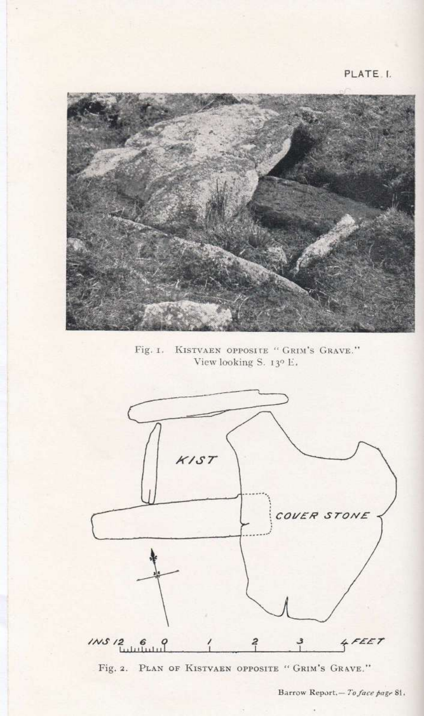

Fig. I. KISTVAEN OPPOSITE " GRIM'S GRAVE." View looking S. 13° E.



Fig. 2. PLAN OF KISTVAEN OPPOSITE " GRIM'S GRAVE."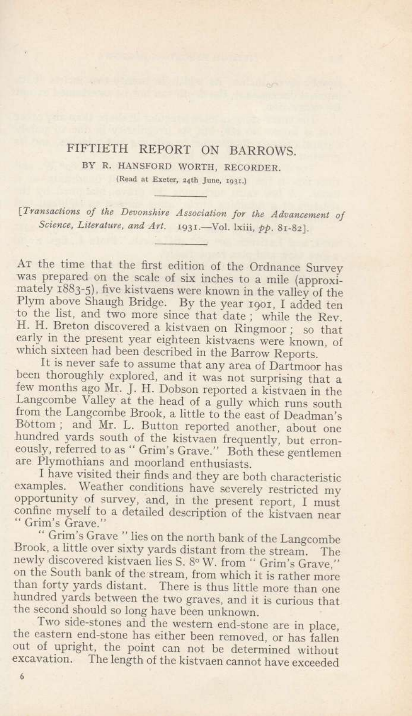## FIFTIETH REPORT ON BARROWS.

BY R. HANSFORD WORTH, RECORDER. (Read at Exeter, 24th June, r93r.)

lTransactions of the Deuonshire Association for the Aduancement of Science, Literature, and Art. 1931.—Vol. lxiii, pp. 81-82].

Ar the time that the first edition of the Ordnance Survey was prepared on the scale of six inches to a mile (approximately  $\hat{1883-5}$ ), five kistvaens were known in the valley of the Plym above Shaugh Bridge. By the year r9or, I added ten to the list, and two more since that date; while the Rev. H. H. Breton discovered a kistvaen on Ringmoor; so that<br>early in the present year eighteen kistvaens were known, of<br>which sixteen had been described in the Barrow Reports.<br>It is never safe to assume that any area of Dartmo

Langcombe Valley at the head of a gully which runs south<br>from the Langcombe Brook, a little to the east of Deadman's<br>Bottom; and Mr. L. Button reported another, about one<br>hundred yards south of the kistvaen frequently, but

I have visited their finds and they are both characteristic<br>examples. Weather conditions have severely restricted my<br>opportunity of survey, and, in the present report, I must<br>confine myself to a detailed description of the

Brook, a little over sixty yards distant from the stream. The newly discovered kistvaen lies S. 8° W. from " Grim's Grave," on the South bank of the stream, from which it is rather more than forty yards distant. There is thus little more than one<br>hundred yards between the two graves, and it is curious that<br>the second should so long have been unknown.<br>Two side-stones and the western end-stone are in place,

the eastern end-stone has either been removed, or has fallen<br>out of upright, the point can not be determined without<br>excavation. The length of the kistvaen cannot have exceeded